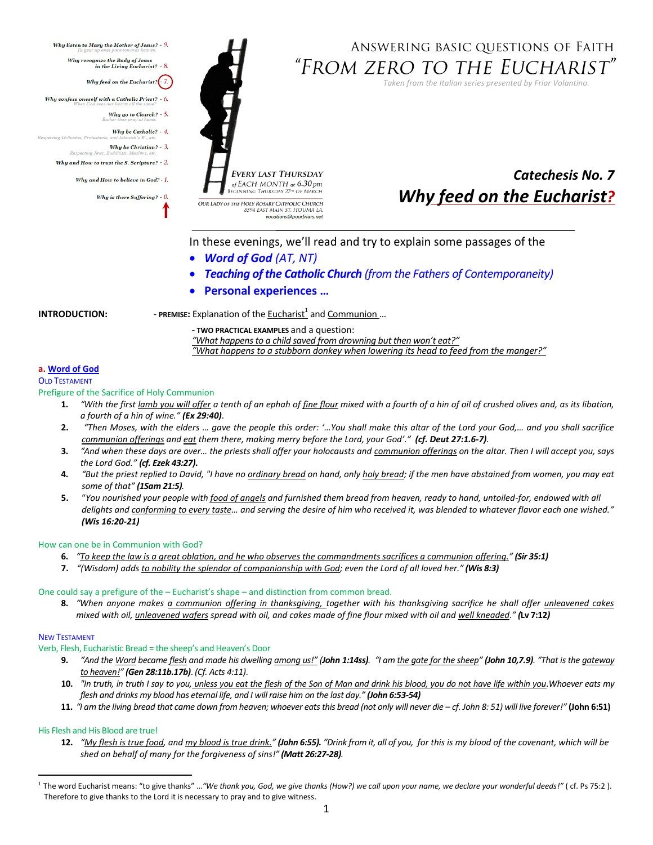<span id="page-0-0"></span>Why listen to Mary the Mother of Jesus? - 9. Why recognize the Body of Jesus<br>in the Living Eucharist? -  $8$ . Why feed on the Eucharist? $\left\langle -7, \right\rangle$ Why confess oneself with a Catholic Priest? -  $6$ . Why go to Church? -  $5$ . Why be Catholic? - 4. cting Orthodox, Protestar Why be Christian? -  $3$ . Respecting Jews. Why and How to trust the S. Scripture?  $-2$ . Why and How to believe in God? - 1. Why is there Suffering?  $-$  0.

# ANSWERING BASIC QUESTIONS OF FAITH "From zero to the Eucharist"

*Taken from the Italian series presented by Friar Volantino.* 

**EVERY LAST THURSDAY** of EACH MONTH at  $6.30$  pm **BEGINNING THURSDAY 27th OF MAR** OUR LADY OF THE HOLY ROSARY CATHOLIC CHURCH 8594 EAST MAIN ST. HOUMA LA vocations@poorfriars.net

# *Catechesis No. 7 Why feed on the Eucharist?*

In these evenings, we'll read and try to explain some passages of the

- *Word of God (AT, NT)*
- *Teaching of the Catholic Church (from the Fathers of Contemporaneity)*
- **Personal experiences …**

**INTRODUCTION:** The PREMISE: Explanation of the **Eucharist<sup>1</sup>** and Communion...

- **TWO PRACTICAL EXAMPLES** and a question: *"What happens to a child saved from drowning but then won't eat?" "What happens to a stubborn donkey when lowering its head to feed from the manger?"*

# **a. Word of God**

**OLD TESTAMENT** 

Prefigure of the Sacrifice of Holy Communion

- **1.** *"With the first lamb you will offer a tenth of an ephah of fine flour mixed with a fourth of a hin of oil of crushed olives and, as its libation, a fourth of a hin of wine." (Ex 29:40)*.
- **2.** *"Then Moses, with the elders … gave the people this order: '…You shall make this altar of the Lord your God,… and you shall sacrifice communion offerings and eat them there, making merry before the Lord, your God'." (cf. Deut 27:1.6-7).*
- **3.** *"And when these days are over… the priests shall offer your holocausts and communion offerings on the altar. Then I will accept you, says the Lord God." (cf. Ezek 43:27)***.**
- **4.** *"But the priest replied to David, "I have no ordinary bread on hand, only holy bread; if the men have abstained from women, you may eat some of that" (1Sam 21:5).*
- **5.** "*You nourished your people with food of angels and furnished them bread from heaven, ready to hand, untoiled-for, endowed with all delights and conforming to every taste… and serving the desire of him who received it, was blended to whatever flavor each one wished." (Wis 16:20-21)*

# How can one be in Communion with God?

- **6.** *"To keep the law is a great oblation, and he who observes the commandments sacrifices a communion offering." (Sir 35:1)*
- **7.** *"(Wisdom) adds to nobility the splendor of companionship with God; even the Lord of all loved her." (Wis 8:3)*

# One could say a prefigure of the – Eucharist's shape – and distinction from common bread.

**8.** *"When anyone makes a communion offering in thanksgiving, together with his thanksgiving sacrifice he shall offer unleavened cakes mixed with oil, unleavened wafers spread with oil, and cakes made of fine flour mixed with oil and well kneaded." (***Lv 7:12***)* 

# NEW TESTAMENT

 $\overline{\phantom{a}}$ 

Verb, Flesh, Eucharistic Bread = the sheep's and Heaven's Door

- 9. "And the Word became flesh and made his dwelling among us!" (John 1:14ss). "I am the gate for the sheep" (John 10,7.9). "That is the gateway *to heaven!" (Gen 28:11b.17b)*. *(Cf. Acts 4:11)*.
- **10.** *"In truth, in truth I say to you, unless you eat the flesh of the Son of Man and drink his blood, you do not have life within you.Whoever eats my flesh and drinks my blood has eternal life, and I will raise him on the last day." (John 6:53-54)*
- **11.** *"I am the living bread that came down from heaven; whoever eats this bread (not only will never die – cf. John 8: 51) will live forever!"* **(John 6:51)**

# His Flesh and His Blood are true!

**12.** *"My flesh is true food, and my blood is true drink." (John 6:55). "Drink from it, all of you, for this is my blood of the covenant, which will be shed on behalf of many for the forgiveness of sins!" (Matt 26:27-28).*

<sup>1</sup> The word Eucharist means: "to give thanks" …*"We thank you, God, we give thanks (How?) we call upon your name, we declare your wonderful deeds!"* ( cf. Ps 75:2 ). Therefore to give thanks to the Lord it is necessary to pray and to give witness.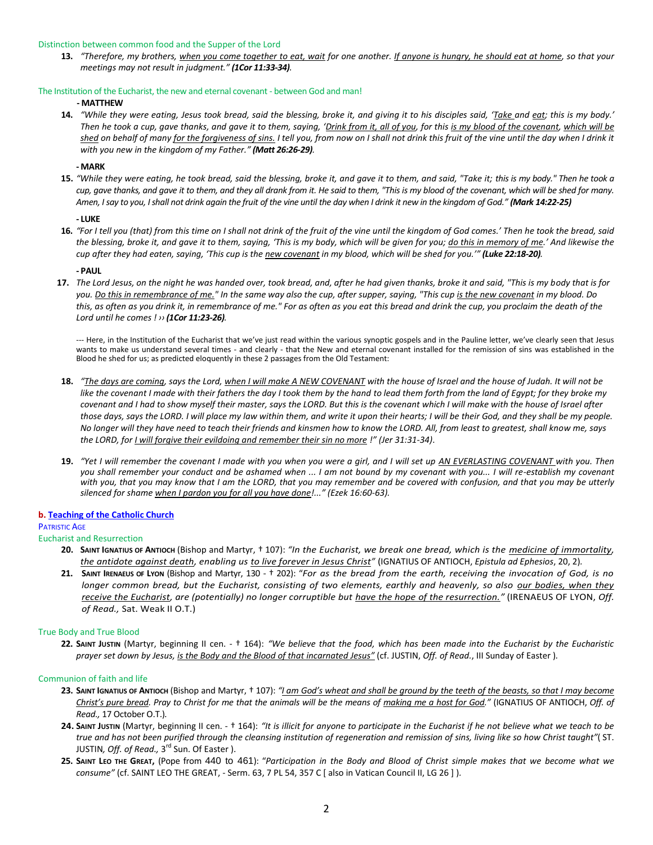## Distinction between common food and the Supper of the Lord

**13.** *"Therefore, my brothers, when you come together to eat, wait for one another. If anyone is hungry, he should eat at home, so that your meetings may not result in judgment." (1Cor 11:33-34).*

## The Institution of the Eucharist, the new and eternal covenant - between God and man!

## **- MATTHEW**

**14.** *"While they were eating, Jesus took bread, said the blessing, broke it, and giving it to his disciples said, 'Take and eat; this is my body.' Then he took a cup, gave thanks, and gave it to them, saying, 'Drink from it, all of you, for this is my blood of the covenant, which will be shed on behalf of many for the forgiveness of sins. I tell you, from now on I shall not drink this fruit of the vine until the day when I drink it with you new in the kingdom of my Father." (Matt 26:26-29).*

# **- MARK**

**15.** *"While they were eating, he took bread, said the blessing, broke it, and gave it to them, and said, "Take it; this is my body." Then he took a cup, gave thanks, and gave it to them, and they all drank from it. He said to them, "This is my blood of the covenant, which will be shed for many. Amen, I say to you, I shall not drink again the fruit of the vine until the day when I drink it new in the kingdom of God." (Mark 14:22-25)*

## **- LUKE**

**16.** *"For I tell you (that) from this time on I shall not drink of the fruit of the vine until the kingdom of God comes.' Then he took the bread, said the blessing, broke it, and gave it to them, saying, 'This is my body, which will be given for you; do this in memory of me.' And likewise the cup after they had eaten, saying, 'This cup is the new covenant in my blood, which will be shed for you.'" (Luke 22:18-20).*

## **- PAUL**

**17.** *The Lord Jesus, on the night he was handed over, took bread, and, after he had given thanks, broke it and said, "This is my body that is for you. Do this in remembrance of me." In the same way also the cup, after supper, saying, "This cup is the new covenant in my blood. Do this, as often as you drink it, in remembrance of me." For as often as you eat this bread and drink the cup, you proclaim the death of the Lord until he comes ! ›› (1Cor 11:23-26).*

--- Here, in the Institution of the Eucharist that we've just read within the various synoptic gospels and in the Pauline letter, we've clearly seen that Jesus wants to make us understand several times - and clearly - that the New and eternal covenant installed for the remission of sins was established in the Blood he shed for us; as predicted eloquently in these 2 passages from the Old Testament:

- **18.** *"The days are coming, says the Lord, when I will make A NEW COVENANT with the house of Israel and the house of Judah. It will not be*  like the covenant I made with their fathers the day I took them by the hand to lead them forth from the land of Egypt; for they broke my *covenant and I had to show myself their master, says the LORD. But this is the covenant which I will make with the house of Israel after those days, says the LORD. I will place my law within them, and write it upon their hearts; I will be their God, and they shall be my people. No longer will they have need to teach their friends and kinsmen how to know the LORD. All, from least to greatest, shall know me, says the LORD, for I will forgive their evildoing and remember their sin no more !" (Jer 31:31-34)*.
- **19.** *"Yet I will remember the covenant I made with you when you were a girl, and I will set up AN EVERLASTING COVENANT with you. Then you shall remember your conduct and be ashamed when ... I am not bound by my covenant with you... I will re-establish my covenant with you, that you may know that I am the LORD, that you may remember and be covered with confusion, and that you may be utterly silenced for shame when I pardon you for all you have done!..." (Ezek 16:60-63).*

# **b. [Teaching of the Catholic Church](#page-0-0)**

# PATRISTIC AGE

# Eucharist and Resurrection

- **20. SAINT IGNATIUS OF ANTIOCH** (Bishop and Martyr, † 107): *"In the Eucharist, we break one bread, which is the medicine of immortality, the antidote against death, enabling us to live forever in Jesus Christ"* (IGNATIUS OF ANTIOCH, *Epistula ad Ephesios*, 20, 2)*.*
- **21. SAINT IRENAEUS OF LYON** (Bishop and Martyr, 130 † 202): "*For as the bread from the earth, receiving the invocation of God, is no longer common bread, but the Eucharist, consisting of two elements, earthly and heavenly, so also our bodies, when they receive the Eucharist, are (potentially) no longer corruptible but have the hope of the resurrection."* (IRENAEUS OF LYON, *Off. of Read.,* Sat. Weak II O.T.)

# True Body and True Blood

**22. SAINT JUSTIN** (Martyr, beginning II cen. - † 164): *"We believe that the food, which has been made into the Eucharist by the Eucharistic prayer set down by Jesus, is the Body and the Blood of that incarnated Jesus"* (cf. JUSTIN, *Off. of Read.*, III Sunday of Easter )*.*

### Communion of faith and life

- **23. SAINT IGNATIUS OF ANTIOCH** (Bishop and Martyr, † 107): *"I am God's wheat and shall be ground by the teeth of the beasts, so that I may become Christ's pure bread. Pray to Christ for me that the animals will be the means of making me a host for God."* (IGNATIUS OF ANTIOCH, *Off. of Read.,* 17 October O.T.)*.*
- 24. SAINT JUSTIN (Martyr, beginning II cen. † 164): "It is illicit for anyone to participate in the Eucharist if he not believe what we teach to be *true and has not been purified through the cleansing institution of regeneration and remission of sins, living like so how Christ taught"*( ST. JUSTIN*, Off. of Read.,* 3<sup>rd</sup> Sun. Of Easter ).
- **25. SAINT LEO THE GREAT,** (Pope from 440 to 461): "*Participation in the Body and Blood of Christ simple makes that we become what we consume"* (cf. SAINT LEO THE GREAT, - Serm. 63, 7 PL 54, 357 C [ also in Vatican Council II, LG 26 ] )*.*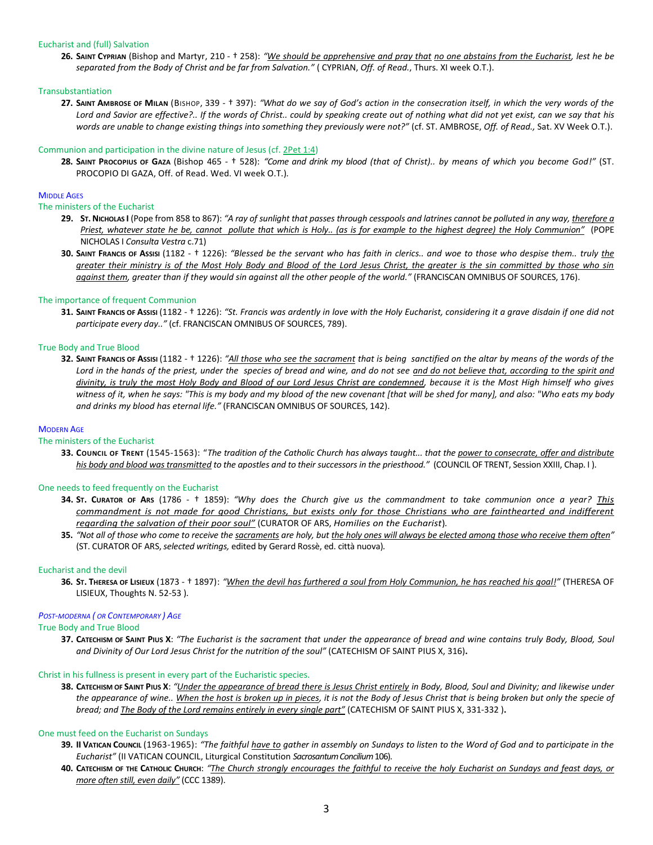## Eucharist and (full) Salvation

**26. SAINT CYPRIAN** (Bishop and Martyr, 210 - † 258): *"We should be apprehensive and pray that no one abstains from the Eucharist, lest he be separated from the Body of Christ and be far from Salvation."* ( CYPRIAN, *Off. of Read.*, Thurs. XI week O.T.).

## Transubstantiation

**27. SAINT AMBROSE OF MILAN** (BISHOP, 339 - † 397): *"What do we say of God's action in the consecration itself, in which the very words of the Lord and Savior are effective?.. If the words of Christ.. could by speaking create out of nothing what did not yet exist, can we say that his words are unable to change existing things into something they previously were not?"* (cf. ST. AMBROSE, *Off. of Read.,* Sat. XV Week O.T.).

## Communion and participation in the divine nature of Jesus (cf[. 2Pet 1:4\)](http://www.lachiesa.it/bibbia.php?ricerca=citazione&id_versioni=1&Citazione=2Pt+1&VersettoOn=1)

**28. SAINT PROCOPIUS OF GAZA** (Bishop 465 - † 528): *"Come and drink my blood (that of Christ).. by means of which you become God!"* (ST. PROCOPIO DI GAZA, Off. of Read. Wed. VI week O.T.)*.*

# **MIDDLE AGES**

## The ministers of the Eucharist

- **29. ST.NICHOLAS I** (Pope from 858 to 867): *"A ray of sunlight that passes through cesspools and latrines cannot be polluted in any way, therefore a Priest, whatever state he be, cannot pollute that which is Holy.. (as is for example to the highest degree) the Holy Communion"* (POPE NICHOLAS I *Consulta Vestra* c.71)
- **30. SAINT FRANCIS OF ASSISI** (1182 † 1226): *"Blessed be the servant who has faith in clerics.. and woe to those who despise them.. truly the greater their ministry is of the Most Holy Body and Blood of the Lord Jesus Christ, the greater is the sin committed by those who sin against them, greater than if they would sin against all the other people of the world."* (FRANCISCAN OMNIBUS OF SOURCES, 176).

## The importance of frequent Communion

**31. SAINT FRANCIS OF ASSISI** (1182 - † 1226): *"St. Francis was ardently in love with the Holy Eucharist, considering it a grave disdain if one did not participate every day.."* (cf. FRANCISCAN OMNIBUS OF SOURCES, 789).

### True Body and True Blood

**32. SAINT FRANCIS OF ASSISI** (1182 - † 1226): *"All those who see the sacrament that is being sanctified on the altar by means of the words of the Lord in the hands of the priest, under the species of bread and wine, and do not see and do not believe that, according to the spirit and divinity, is truly the most Holy Body and Blood of our Lord Jesus Christ are condemned, because it is the Most High himself who gives witness of it, when he says: "This is my body and my blood of the new covenant [that will be shed for many], and also: "Who eats my body and drinks my blood has eternal life."* (FRANCISCAN OMNIBUS OF SOURCES, 142).

# MODERN AGE

### The ministers of the Eucharist

**33. COUNCIL OF TRENT** (1545-1563): "*The tradition of the Catholic Church has always taught... that the power to consecrate, offer and distribute his body and blood was transmitted to the apostles and to their successors in the priesthood."* (COUNCIL OF TRENT, Session XXIII, Chap. I )*.*

## One needs to feed frequently on the Eucharist

- **34. ST. CURATOR OF ARS** (1786 † 1859): *"Why does the Church give us the commandment to take communion once a year? This commandment is not made for good Christians, but exists only for those Christians who are fainthearted and indifferent regarding the salvation of their poor soul"* (CURATOR OF ARS, *Homilies on the Eucharist*)*.*
- **35.** *"Not all of those who come to receive the sacraments are holy, but the holy ones will always be elected among those who receive them often"* (ST. CURATOR OF ARS, *selected writings,* edited by Gerard Rossè, ed. città nuova)*.*

## Eucharist and the devil

**36. ST. THERESA OF LISIEUX** (1873 - † 1897): *"When the devil has furthered a soul from Holy Communion, he has reached his goal!"* (THERESA OF LISIEUX, Thoughts N. 52-53 )*.*

### *POST-MODERNA ( OR CONTEMPORARY ) AGE*

### True Body and True Blood

**37. CATECHISM OF SAINT PIUS X**: *"The Eucharist is the sacrament that under the appearance of bread and wine contains truly Body, Blood, Soul and Divinity of Our Lord Jesus Christ for the nutrition of the soul"* (CATECHISM OF SAINT PIUS X, 316)**.**

## Christ in his fullness is present in every part of the Eucharistic species.

**38. CATECHISM OF SAINT PIUS X**: *"Under the appearance of bread there is Jesus Christ entirely in Body, Blood, Soul and Divinity; and likewise under the appearance of wine.. When the host is broken up in pieces, it is not the Body of Jesus Christ that is being broken but only the specie of bread; and The Body of the Lord remains entirely in every single part"* (CATECHISM OF SAINT PIUS X, 331-332 )**.**

# One must feed on the Eucharist on Sundays

- **39. II VATICAN COUNCIL** (1963-1965): *"The faithful have to gather in assembly on Sundays to listen to the Word of God and to participate in the Eucharist"* (II VATICAN COUNCIL, Liturgical Constitution *Sacrosantum Concilium*106).
- **40. CATECHISM OF THE CATHOLIC CHURCH**: *"The Church strongly encourages the faithful to receive the holy Eucharist on Sundays and feast days, or more often still, even daily"* (CCC 1389).